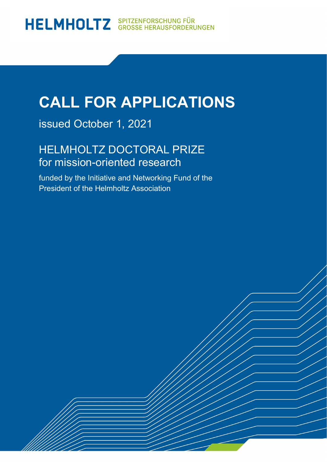### **CALL FOR APPLICATIONS**

issued October 1, 2021

HELMHOLTZ DOCTORAL PRIZE for mission-oriented research

funded by the Initiative and Networking Fund of the President of the Helmholtz Association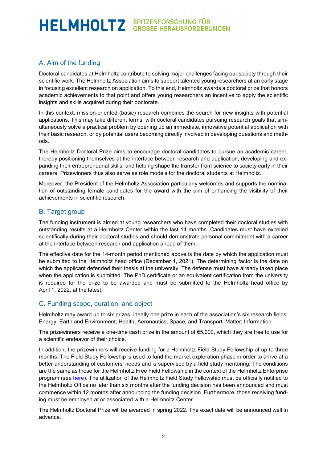### HELMHOLTZ SPITZENFORSCHUNG FÜR

#### A. Aim of the funding

Doctoral candidates at Helmholtz contribute to solving major challenges facing our society through their scientific work. The Helmholtz Association aims to support talented young researchers at an early stage in focusing excellent research on application. To this end, Helmholtz awards a doctoral prize that honors academic achievements to that point and offers young researchers an incentive to apply the scientific insights and skills acquired during their doctorate.

In this context, mission-oriented (basic) research combines the search for new insights with potential applications. This may take different forms, with doctoral candidates pursuing research goals that simultaneously solve a practical problem by opening up an immediate, innovative potential application with their basic research, or by potential users becoming directly involved in developing questions and methods.

The Helmholtz Doctoral Prize aims to encourage doctoral candidates to pursue an academic career, thereby positioning themselves at the interface between research and application, developing and expanding their entrepreneurial skills, and helping shape the transfer from science to society early in their careers. Prizewinners thus also serve as role models for the doctoral students at Helmholtz.

Moreover, the President of the Helmholtz Association particularly welcomes and supports the nomination of outstanding female candidates for the award with the aim of enhancing the visibility of their achievements in scientific research.

#### B. Target group

The funding instrument is aimed at young researchers who have completed their doctoral studies with outstanding results at a Helmholtz Center within the last 14 months. Candidates must have excelled scientifically during their doctoral studies and should demonstrate personal commitment with a career at the interface between research and application ahead of them.

The effective date for the 14-month period mentioned above is the date by which the application must be submitted to the Helmholtz head office (December 1, 2021). The determining factor is the date on which the applicant defended their thesis at the university. The defense must have already taken place when the application is submitted. The PhD certificate or an equivalent certification from the university is required for the prize to be awarded and must be submitted to the Helmholtz head office by April 1, 2022, at the latest.

#### C. Funding scope, duration, and object

Helmholtz may award up to six prizes, ideally one prize in each of the association's six research fields: Energy; Earth and Environment; Health; Aeronautics, Space, and Transport; Matter; Information.

The prizewinners receive a one-time cash prize in the amount of €5,000, which they are free to use for a scientific endeavor of their choice.

In addition, the prizewinners will receive funding for a Helmholtz Field Study Fellowship of up to three months. The Field Study Fellowship is used to fund the market exploration phase in order to arrive at a better understanding of customers' needs and is supervised by a field study mentoring. The conditions are the same as those for the Helmholtz Free Field Fellowship in the context of the Helmholtz Enterprise program (see [here\)](https://www.helmholtz.de/en/transfer/technology-transfer/innovation-and-funding-programms/helmholtz-enterprise/). The utilization of the Helmholtz Field Study Fellowship must be officially notified to the Helmholtz Office no later than six months after the funding decision has been announced and must commence within 12 months after announcing the funding decision. Furthermore, those receiving funding must be employed at or associated with a Helmholtz Center.

The Helmholtz Doctoral Prize will be awarded in spring 2022. The exact date will be announced well in advance.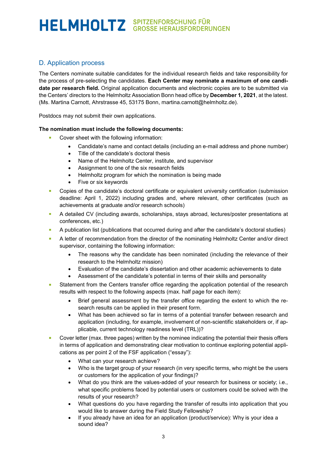# HELMHOLTZ SPITZENFORSCHUNG FÜR

#### D. Application process

The Centers nominate suitable candidates for the individual research fields and take responsibility for the process of pre-selecting the candidates. **Each Center may nominate a maximum of one candidate per research field.** Original application documents and electronic copies are to be submitted via the Centers' directors to the Helmholtz Association Bonn head office by **December 1, 2021**, at the latest. (Ms. Martina Carnott, Ahrstrasse 45, 53175 Bonn, [martina.carnott@helmholtz.de\)](mailto:martina.carnott@helmholtz.de).

Postdocs may not submit their own applications.

#### **The nomination must include the following documents:**

- Cover sheet with the following information:
	- Candidate's name and contact details (including an e-mail address and phone number)
	- Title of the candidate's doctoral thesis
	- Name of the Helmholtz Center, institute, and supervisor
	- Assignment to one of the six research fields
	- Helmholtz program for which the nomination is being made
	- Five or six keywords
- **Copies of the candidate's doctoral certificate or equivalent university certification (submission** deadline: April 1, 2022) including grades and, where relevant, other certificates (such as achievements at graduate and/or research schools)
- A detailed CV (including awards, scholarships, stays abroad, lectures/poster presentations at conferences, etc.)
- A publication list (publications that occurred during and after the candidate's doctoral studies)
- **A** letter of recommendation from the director of the nominating Helmholtz Center and/or direct supervisor, containing the following information:
	- The reasons why the candidate has been nominated (including the relevance of their research to the Helmholtz mission)
	- Evaluation of the candidate's dissertation and other academic achievements to date
	- Assessment of the candidate's potential in terms of their skills and personality
- **Statement from the Centers transfer office regarding the application potential of the research** results with respect to the following aspects (max. half page for each item):
	- Brief general assessment by the transfer office regarding the extent to which the research results can be applied in their present form.
	- What has been achieved so far in terms of a potential transfer between research and application (including, for example, involvement of non-scientific stakeholders or, if applicable, current technology readiness level (TRL))?
- **Cover letter (max. three pages) written by the nominee indicating the potential their thesis offers** in terms of application and demonstrating clear motivation to continue exploring potential applications as per point 2 of the FSF application ("essay"):
	- What can your research achieve?
	- Who is the target group of your research (in very specific terms, who might be the users or customers for the application of your findings)?
	- What do you think are the values-added of your research for business or society; i.e., what specific problems faced by potential users or customers could be solved with the results of your research?
	- What questions do you have regarding the transfer of results into application that you would like to answer during the Field Study Fellowship?
	- If you already have an idea for an application (product/service): Why is your idea a sound idea?